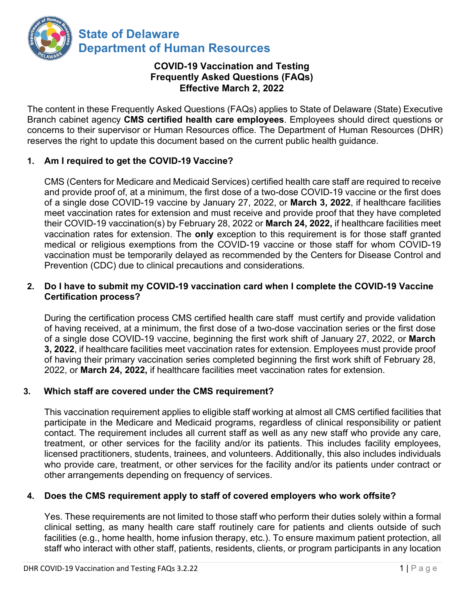

# **COVID-19 Vaccination and Testing Frequently Asked Questions (FAQs) Effective March 2, 2022**

The content in these Frequently Asked Questions (FAQs) applies to State of Delaware (State) Executive Branch cabinet agency **CMS certified health care employees**. Employees should direct questions or concerns to their supervisor or Human Resources office. The Department of Human Resources (DHR) reserves the right to update this document based on the current public health guidance.

# **1. Am I required to get the COVID-19 Vaccine?**

CMS (Centers for Medicare and Medicaid Services) certified health care staff are required to receive and provide proof of, at a minimum, the first dose of a two-dose COVID-19 vaccine or the first does of a single dose COVID-19 vaccine by January 27, 2022, or **March 3, 2022**, if healthcare facilities meet vaccination rates for extension and must receive and provide proof that they have completed their COVID-19 vaccination(s) by February 28, 2022 or **March 24, 2022,** if healthcare facilities meet vaccination rates for extension. The **only** exception to this requirement is for those staff granted medical or religious exemptions from the COVID-19 vaccine or those staff for whom COVID-19 vaccination must be temporarily delayed as recommended by the Centers for Disease Control and Prevention (CDC) due to clinical precautions and considerations.

## **2. Do I have to submit my COVID-19 vaccination card when I complete the COVID-19 Vaccine Certification process?**

During the certification process CMS certified health care staff must certify and provide validation of having received, at a minimum, the first dose of a two-dose vaccination series or the first dose of a single dose COVID-19 vaccine, beginning the first work shift of January 27, 2022, or **March 3, 2022**, if healthcare facilities meet vaccination rates for extension. Employees must provide proof of having their primary vaccination series completed beginning the first work shift of February 28, 2022, or **March 24, 2022,** if healthcare facilities meet vaccination rates for extension.

# **3. Which staff are covered under the CMS requirement?**

This vaccination requirement applies to eligible staff working at almost all CMS certified facilities that participate in the Medicare and Medicaid programs, regardless of clinical responsibility or patient contact. The requirement includes all current staff as well as any new staff who provide any care, treatment, or other services for the facility and/or its patients. This includes facility employees, licensed practitioners, students, trainees, and volunteers. Additionally, this also includes individuals who provide care, treatment, or other services for the facility and/or its patients under contract or other arrangements depending on frequency of services.

# **4. Does the CMS requirement apply to staff of covered employers who work offsite?**

Yes. These requirements are not limited to those staff who perform their duties solely within a formal clinical setting, as many health care staff routinely care for patients and clients outside of such facilities (e.g., home health, home infusion therapy, etc.). To ensure maximum patient protection, all staff who interact with other staff, patients, residents, clients, or program participants in any location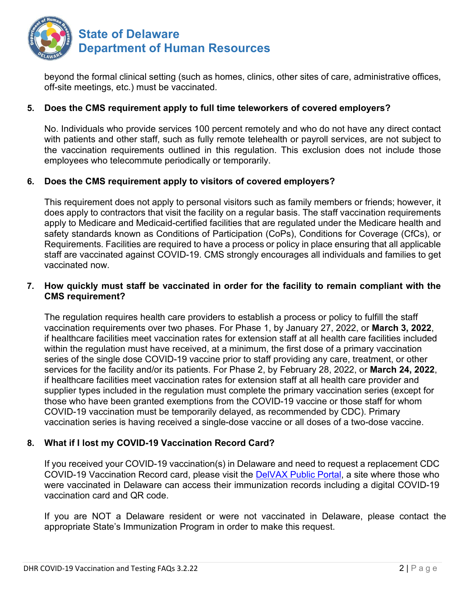

beyond the formal clinical setting (such as homes, clinics, other sites of care, administrative offices, off-site meetings, etc.) must be vaccinated.

## **5. Does the CMS requirement apply to full time teleworkers of covered employers?**

No. Individuals who provide services 100 percent remotely and who do not have any direct contact with patients and other staff, such as fully remote telehealth or payroll services, are not subject to the vaccination requirements outlined in this regulation. This exclusion does not include those employees who telecommute periodically or temporarily.

## **6. Does the CMS requirement apply to visitors of covered employers?**

This requirement does not apply to personal visitors such as family members or friends; however, it does apply to contractors that visit the facility on a regular basis. The staff vaccination requirements apply to Medicare and Medicaid-certified facilities that are regulated under the Medicare health and safety standards known as Conditions of Participation (CoPs), Conditions for Coverage (CfCs), or Requirements. Facilities are required to have a process or policy in place ensuring that all applicable staff are vaccinated against COVID-19. CMS strongly encourages all individuals and families to get vaccinated now.

## **7. How quickly must staff be vaccinated in order for the facility to remain compliant with the CMS requirement?**

The regulation requires health care providers to establish a process or policy to fulfill the staff vaccination requirements over two phases. For Phase 1, by January 27, 2022, or **March 3, 2022**, if healthcare facilities meet vaccination rates for extension staff at all health care facilities included within the regulation must have received, at a minimum, the first dose of a primary vaccination series of the single dose COVID-19 vaccine prior to staff providing any care, treatment, or other services for the facility and/or its patients. For Phase 2, by February 28, 2022, or **March 24, 2022**, if healthcare facilities meet vaccination rates for extension staff at all health care provider and supplier types included in the regulation must complete the primary vaccination series (except for those who have been granted exemptions from the COVID-19 vaccine or those staff for whom COVID-19 vaccination must be temporarily delayed, as recommended by CDC). Primary vaccination series is having received a single-dose vaccine or all doses of a two-dose vaccine.

# **8. What if I lost my COVID-19 Vaccination Record Card?**

If you received your COVID-19 vaccination(s) in Delaware and need to request a replacement CDC COVID-19 Vaccination Record card, please visit the [DelVAX Public Portal,](https://delvax.dhss.delaware.gov/delvax_public/Application/PublicPortal) a site where those who were vaccinated in Delaware can access their immunization records including a digital COVID-19 vaccination card and QR code.

If you are NOT a Delaware resident or were not vaccinated in Delaware, please contact the appropriate State's Immunization Program in order to make this request.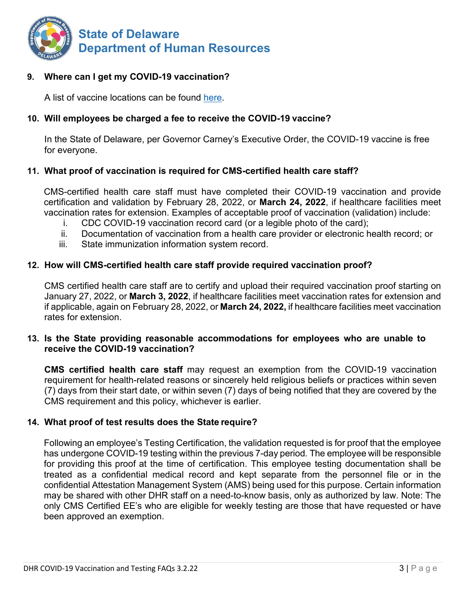

### **9. Where can I get my COVID-19 vaccination?**

A list of vaccine locations can be found [here.](https://coronavirus.delaware.gov/vaccine/where-can-i-get-my-vaccine/)

## **10. Will employees be charged a fee to receive the COVID-19 vaccine?**

In the State of Delaware, per Governor Carney's Executive Order, the COVID-19 vaccine is free for everyone.

#### **11. What proof of vaccination is required for CMS-certified health care staff?**

CMS-certified health care staff must have completed their COVID-19 vaccination and provide certification and validation by February 28, 2022, or **March 24, 2022**, if healthcare facilities meet vaccination rates for extension. Examples of acceptable proof of vaccination (validation) include:

- i. CDC COVID-19 vaccination record card (or a legible photo of the card);
- ii. Documentation of vaccination from a health care provider or electronic health record; or
- iii. State immunization information system record.

### **12. How will CMS-certified health care staff provide required vaccination proof?**

CMS certified health care staff are to certify and upload their required vaccination proof starting on January 27, 2022, or **March 3, 2022**, if healthcare facilities meet vaccination rates for extension and if applicable, again on February 28, 2022, or **March 24, 2022,** if healthcare facilities meet vaccination rates for extension.

### **13. Is the State providing reasonable accommodations for employees who are unable to receive the COVID-19 vaccination?**

**CMS certified health care staff** may request an exemption from the COVID-19 vaccination requirement for health-related reasons or sincerely held religious beliefs or practices within seven (7) days from their start date, or within seven (7) days of being notified that they are covered by the CMS requirement and this policy, whichever is earlier.

#### **14. What proof of test results does the State require?**

Following an employee's Testing Certification, the validation requested is for proof that the employee has undergone COVID-19 testing within the previous 7-day period*.* The employee will be responsible for providing this proof at the time of certification. This employee testing documentation shall be treated as a confidential medical record and kept separate from the personnel file or in the confidential Attestation Management System (AMS) being used for this purpose. Certain information may be shared with other DHR staff on a need-to-know basis, only as authorized by law. Note: The only CMS Certified EE's who are eligible for weekly testing are those that have requested or have been approved an exemption.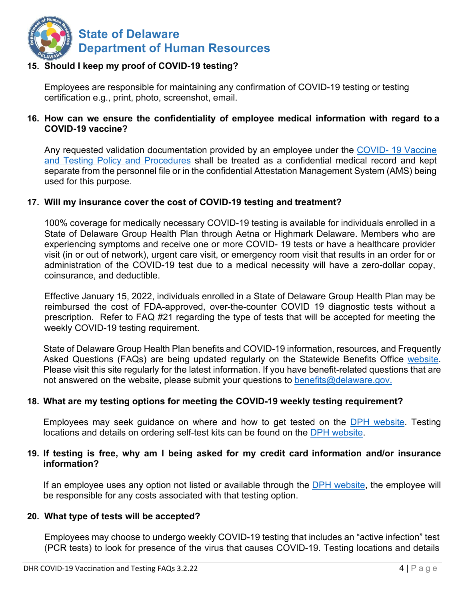

## **15. Should I keep my proof of COVID-19 testing?**

Employees are responsible for maintaining any confirmation of COVID-19 testing or testing certification e.g., print, photo, screenshot, email.

### **16. How can we ensure the confidentiality of employee medical information with regard to a COVID-19 vaccine?**

Any requested validation documentation provided by an employee under the [COVID- 19 Vaccine](https://dhr.delaware.gov/policies/documents/covid19-vaccination-and-test-policy.pdf) [and Testing Policy and Procedures](https://dhr.delaware.gov/policies/documents/covid19-vaccination-and-test-policy.pdf) shall be treated as a confidential medical record and kept separate from the personnel file or in the confidential Attestation Management System (AMS) being used for this purpose.

#### **17. Will my insurance cover the cost of COVID-19 testing and treatment?**

100% coverage for medically necessary COVID-19 testing is available for individuals enrolled in a State of Delaware Group Health Plan through Aetna or Highmark Delaware. Members who are experiencing symptoms and receive one or more COVID- 19 tests or have a healthcare provider visit (in or out of network), urgent care visit, or emergency room visit that results in an order for or administration of the COVID-19 test due to a medical necessity will have a zero-dollar copay, coinsurance, and deductible.

Effective January 15, 2022, individuals enrolled in a State of Delaware Group Health Plan may be reimbursed the cost of FDA-approved, over-the-counter COVID 19 diagnostic tests without a prescription. Refer to FAQ #21 regarding the type of tests that will be accepted for meeting the weekly COVID-19 testing requirement.

State of Delaware Group Health Plan benefits and COVID-19 information, resources, and Frequently Asked Questions (FAQs) are being updated regularly on the Statewide Benefits Office [website.](https://dhr.delaware.gov/benefits/covid-19/index.shtml) Please visit this site regularly for the latest information. If you have benefit-related questions that are not answered on the website, please submit your questions to [benefits@delaware.gov.](mailto:benefits@delaware.gov)

#### **18. What are my testing options for meeting the COVID-19 weekly testing requirement?**

Employees may seek guidance on where and how to get tested on the [DPH website.](https://coronavirus.delaware.gov/testing/) Testing locations and details on ordering self-test kits can be found on the [DPH website.](https://coronavirus.delaware.gov/testing/)

#### **19. If testing is free, why am I being asked for my credit card information and/or insurance information?**

If an employee uses any option not listed or available through the [DPH website,](https://coronavirus.delaware.gov/testing/) the employee will be responsible for any costs associated with that testing option.

#### **20. What type of tests will be accepted?**

Employees may choose to undergo weekly COVID-19 testing that includes an "active infection" test (PCR tests) to look for presence of the virus that causes COVID-19. Testing locations and details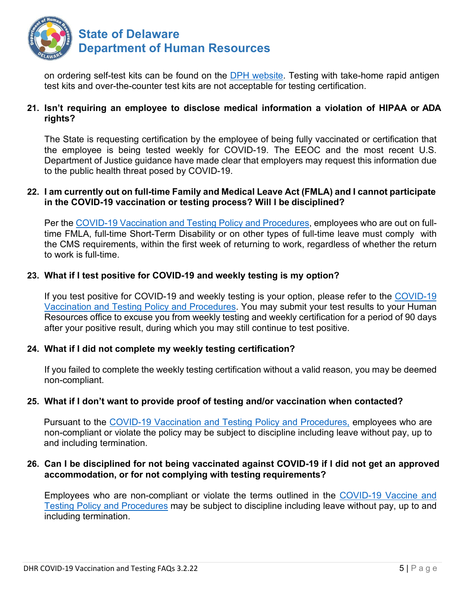

on ordering self-test kits can be found on the [DPH website.](https://coronavirus.delaware.gov/testing/) Testing with take-home rapid antigen test kits and over-the-counter test kits are not acceptable for testing certification.

## **21. Isn't requiring an employee to disclose medical information a violation of HIPAA or ADA rights?**

The State is requesting certification by the employee of being fully vaccinated or certification that the employee is being tested weekly for COVID-19. The EEOC and the most recent U.S. Department of Justice guidance have made clear that employers may request this information due to the public health threat posed by COVID-19.

#### **22. I am currently out on full-time Family and Medical Leave Act (FMLA) and I cannot participate in the COVID-19 vaccination or testing process? Will I be disciplined?**

Per the COVID-19 Vaccination and Testing Policy and [Procedures,](https://dhr.delaware.gov/policies/documents/covid19-vaccination-and-test-policy.pdf) employees who are out on fulltime FMLA, full-time Short-Term Disability or on other types of full-time leave must comply with the CMS requirements, within the first week of returning to work, regardless of whether the return to work is full-time.

## **23. What if I test positive for COVID-19 and weekly testing is my option?**

If you test positive for COVID-19 and weekly testing is your option, please refer to the [COVID-19](https://dhr.delaware.gov/policies/documents/covid19-vaccination-and-test-policy.pdf) [Vaccination and Testing Policy and Procedures.](https://dhr.delaware.gov/policies/documents/covid19-vaccination-and-test-policy.pdf) You may submit your test results to your Human Resources office to excuse you from weekly testing and weekly certification for a period of 90 days after your positive result, during which you may still continue to test positive.

#### **24. What if I did not complete my weekly testing certification?**

If you failed to complete the weekly testing certification without a valid reason*,* you may be deemed non-compliant.

## **25. What if I don't want to provide proof of testing and/or vaccination when contacted?**

Pursuant to the [COVID-19 Vaccination and Testing Policy and Procedures,](https://dhr.delaware.gov/policies/documents/covid19-vaccination-and-test-policy.pdf) employees who are non-compliant or violate the policy may be subject to discipline including leave without pay, up to and including termination.

#### **26. Can I be disciplined for not being vaccinated against COVID-19 if I did not get an approved accommodation, or for not complying with testing requirements?**

Employees who are non-compliant or violate the terms outlined in the [COVID-19 Vaccine and](https://dhr.delaware.gov/policies/documents/covid19-vaccination-and-test-policy.pdf) [Testing Policy and Procedures](https://dhr.delaware.gov/policies/documents/covid19-vaccination-and-test-policy.pdf) may be subject to discipline including leave without pay, up to and including termination.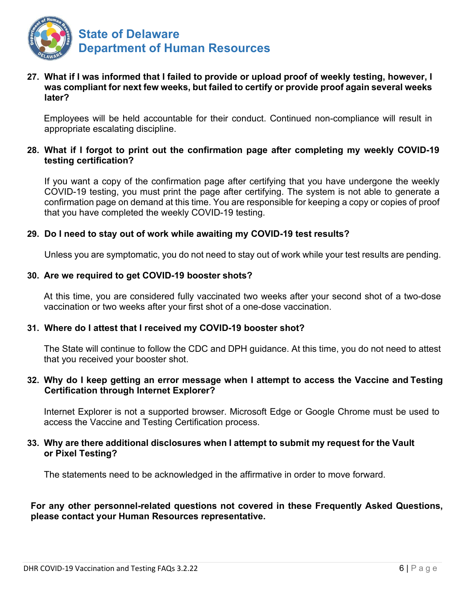

## **27. What if I was informed that I failed to provide or upload proof of weekly testing, however, I was compliant for next few weeks, but failed to certify or provide proof again several weeks later?**

Employees will be held accountable for their conduct. Continued non-compliance will result in appropriate escalating discipline.

## **28. What if I forgot to print out the confirmation page after completing my weekly COVID-19 testing certification?**

If you want a copy of the confirmation page after certifying that you have undergone the weekly COVID-19 testing, you must print the page after certifying. The system is not able to generate a confirmation page on demand at this time. You are responsible for keeping a copy or copies of proof that you have completed the weekly COVID-19 testing.

## **29. Do I need to stay out of work while awaiting my COVID-19 test results?**

Unless you are symptomatic, you do not need to stay out of work while your test results are pending.

#### **30. Are we required to get COVID-19 booster shots?**

At this time, you are considered fully vaccinated two weeks after your second shot of a two-dose vaccination or two weeks after your first shot of a one-dose vaccination.

#### **31. Where do I attest that I received my COVID-19 booster shot?**

The State will continue to follow the CDC and DPH guidance. At this time, you do not need to attest that you received your booster shot.

#### **32. Why do I keep getting an error message when I attempt to access the Vaccine and Testing Certification through Internet Explorer?**

Internet Explorer is not a supported browser. Microsoft Edge or Google Chrome must be used to access the Vaccine and Testing Certification process.

#### **33. Why are there additional disclosures when I attempt to submit my request for the Vault or Pixel Testing?**

The statements need to be acknowledged in the affirmative in order to move forward.

## **For any other personnel-related questions not covered in these Frequently Asked Questions, please contact your Human Resources representative.**